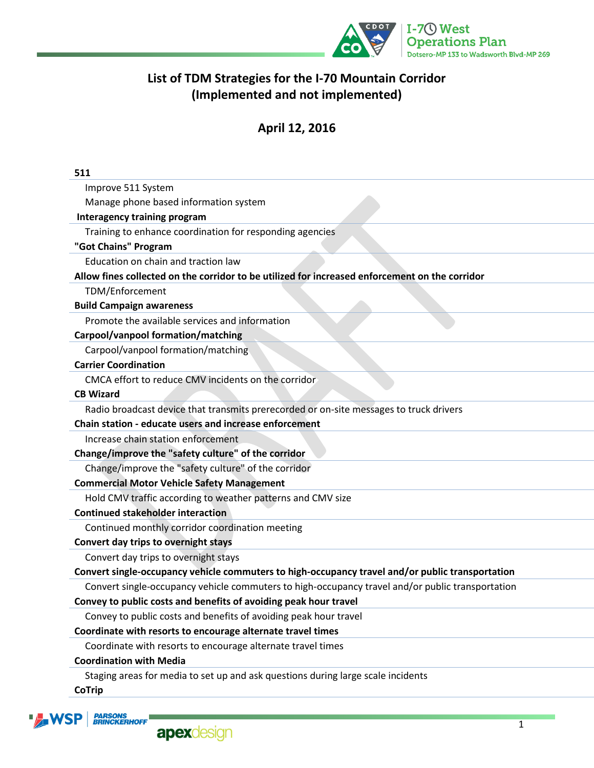

# **List of TDM Strategies for the I-70 Mountain Corridor (Implemented and not implemented)**

# **April 12, 2016**

| 511                                                                                              |
|--------------------------------------------------------------------------------------------------|
| Improve 511 System                                                                               |
| Manage phone based information system                                                            |
| <b>Interagency training program</b>                                                              |
| Training to enhance coordination for responding agencies                                         |
| "Got Chains" Program                                                                             |
| Education on chain and traction law                                                              |
| Allow fines collected on the corridor to be utilized for increased enforcement on the corridor   |
| TDM/Enforcement                                                                                  |
| <b>Build Campaign awareness</b>                                                                  |
| Promote the available services and information                                                   |
| Carpool/vanpool formation/matching                                                               |
| Carpool/vanpool formation/matching                                                               |
| <b>Carrier Coordination</b>                                                                      |
| CMCA effort to reduce CMV incidents on the corridor                                              |
| <b>CB Wizard</b>                                                                                 |
| Radio broadcast device that transmits prerecorded or on-site messages to truck drivers           |
| Chain station - educate users and increase enforcement                                           |
| Increase chain station enforcement                                                               |
| Change/improve the "safety culture" of the corridor                                              |
| Change/improve the "safety culture" of the corridor                                              |
| <b>Commercial Motor Vehicle Safety Management</b>                                                |
| Hold CMV traffic according to weather patterns and CMV size                                      |
| <b>Continued stakeholder interaction</b>                                                         |
| Continued monthly corridor coordination meeting                                                  |
| Convert day trips to overnight stays                                                             |
| Convert day trips to overnight stays                                                             |
| Convert single-occupancy vehicle commuters to high-occupancy travel and/or public transportation |
| Convert single-occupancy vehicle commuters to high-occupancy travel and/or public transportation |
| Convey to public costs and benefits of avoiding peak hour travel                                 |
| Convey to public costs and benefits of avoiding peak hour travel                                 |
| Coordinate with resorts to encourage alternate travel times                                      |
| Coordinate with resorts to encourage alternate travel times                                      |
| <b>Coordination with Media</b>                                                                   |
| Staging areas for media to set up and ask questions during large scale incidents                 |

**CoTrip**



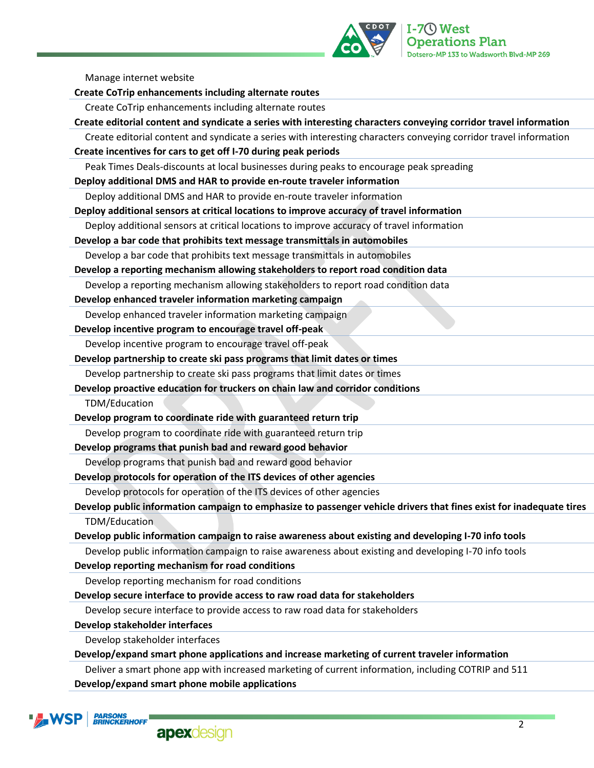

Manage internet website

| <b>Create CoTrip enhancements including alternate routes</b>                                                        |
|---------------------------------------------------------------------------------------------------------------------|
| Create CoTrip enhancements including alternate routes                                                               |
| Create editorial content and syndicate a series with interesting characters conveying corridor travel information   |
| Create editorial content and syndicate a series with interesting characters conveying corridor travel information   |
| Create incentives for cars to get off I-70 during peak periods                                                      |
| Peak Times Deals-discounts at local businesses during peaks to encourage peak spreading                             |
| Deploy additional DMS and HAR to provide en-route traveler information                                              |
| Deploy additional DMS and HAR to provide en-route traveler information                                              |
| Deploy additional sensors at critical locations to improve accuracy of travel information                           |
| Deploy additional sensors at critical locations to improve accuracy of travel information                           |
| Develop a bar code that prohibits text message transmittals in automobiles                                          |
| Develop a bar code that prohibits text message transmittals in automobiles                                          |
| Develop a reporting mechanism allowing stakeholders to report road condition data                                   |
| Develop a reporting mechanism allowing stakeholders to report road condition data                                   |
| Develop enhanced traveler information marketing campaign                                                            |
| Develop enhanced traveler information marketing campaign                                                            |
| Develop incentive program to encourage travel off-peak                                                              |
| Develop incentive program to encourage travel off-peak                                                              |
| Develop partnership to create ski pass programs that limit dates or times                                           |
| Develop partnership to create ski pass programs that limit dates or times                                           |
| Develop proactive education for truckers on chain law and corridor conditions                                       |
| TDM/Education                                                                                                       |
| Develop program to coordinate ride with guaranteed return trip                                                      |
| Develop program to coordinate ride with guaranteed return trip                                                      |
| Develop programs that punish bad and reward good behavior                                                           |
| Develop programs that punish bad and reward good behavior                                                           |
| Develop protocols for operation of the ITS devices of other agencies                                                |
| Develop protocols for operation of the ITS devices of other agencies                                                |
| Develop public information campaign to emphasize to passenger vehicle drivers that fines exist for inadequate tires |
| TDM/Education                                                                                                       |
| Develop public information campaign to raise awareness about existing and developing I-70 info tools                |
| Develop public information campaign to raise awareness about existing and developing I-70 info tools                |
| Develop reporting mechanism for road conditions                                                                     |
| Develop reporting mechanism for road conditions                                                                     |
| Develop secure interface to provide access to raw road data for stakeholders                                        |
| Develop secure interface to provide access to raw road data for stakeholders                                        |
| Develop stakeholder interfaces                                                                                      |
| Develop stakeholder interfaces                                                                                      |
| Develop/expand smart phone applications and increase marketing of current traveler information                      |
| Deliver a smart phone app with increased marketing of current information, including COTRIP and 511                 |
| Develop/expand smart phone mobile applications                                                                      |
|                                                                                                                     |
| <b>PARSONS</b>                                                                                                      |

**Ly** WSP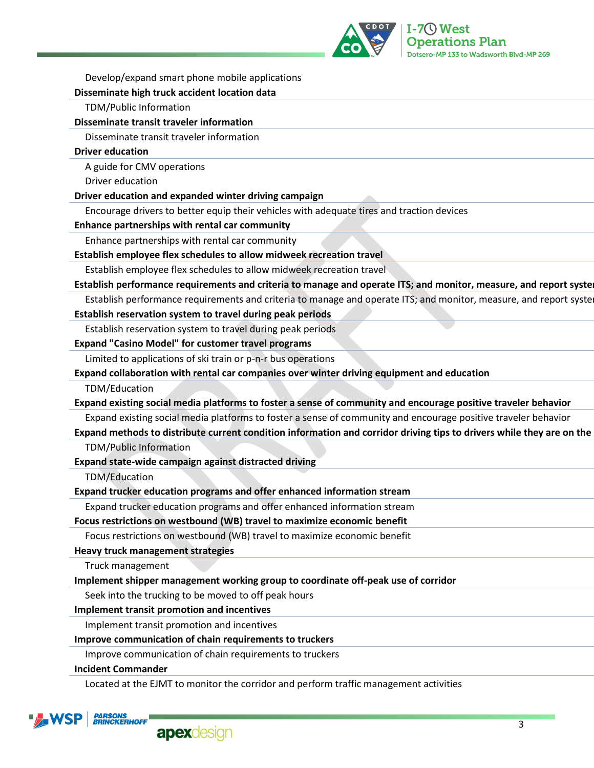

| Develop/expand smart phone mobile applications                                                                        |
|-----------------------------------------------------------------------------------------------------------------------|
| Disseminate high truck accident location data                                                                         |
| TDM/Public Information                                                                                                |
| Disseminate transit traveler information                                                                              |
| Disseminate transit traveler information                                                                              |
| <b>Driver education</b>                                                                                               |
| A guide for CMV operations                                                                                            |
| Driver education                                                                                                      |
| Driver education and expanded winter driving campaign                                                                 |
| Encourage drivers to better equip their vehicles with adequate tires and traction devices                             |
| Enhance partnerships with rental car community                                                                        |
| Enhance partnerships with rental car community                                                                        |
| Establish employee flex schedules to allow midweek recreation travel                                                  |
| Establish employee flex schedules to allow midweek recreation travel                                                  |
| Establish performance requirements and criteria to manage and operate ITS; and monitor, measure, and report syster    |
| Establish performance requirements and criteria to manage and operate ITS; and monitor, measure, and report systel    |
| Establish reservation system to travel during peak periods                                                            |
| Establish reservation system to travel during peak periods                                                            |
| <b>Expand "Casino Model" for customer travel programs</b>                                                             |
| Limited to applications of ski train or p-n-r bus operations                                                          |
| Expand collaboration with rental car companies over winter driving equipment and education                            |
| TDM/Education                                                                                                         |
| Expand existing social media platforms to foster a sense of community and encourage positive traveler behavior        |
| Expand existing social media platforms to foster a sense of community and encourage positive traveler behavior        |
| Expand methods to distribute current condition information and corridor driving tips to drivers while they are on the |
| <b>TDM/Public Information</b>                                                                                         |
| Expand state-wide campaign against distracted driving                                                                 |
| TDM/Education                                                                                                         |
| Expand trucker education programs and offer enhanced information stream                                               |
| Expand trucker education programs and offer enhanced information stream                                               |
| Focus restrictions on westbound (WB) travel to maximize economic benefit                                              |
| Focus restrictions on westbound (WB) travel to maximize economic benefit                                              |
| <b>Heavy truck management strategies</b>                                                                              |
| Truck management                                                                                                      |
| Implement shipper management working group to coordinate off-peak use of corridor                                     |
| Seek into the trucking to be moved to off peak hours                                                                  |
| Implement transit promotion and incentives                                                                            |
| Implement transit promotion and incentives                                                                            |
| Improve communication of chain requirements to truckers                                                               |
| Improve communication of chain requirements to truckers                                                               |
| <b>Incident Commander</b>                                                                                             |
| Located at the EJMT to monitor the corridor and perform traffic management activities                                 |



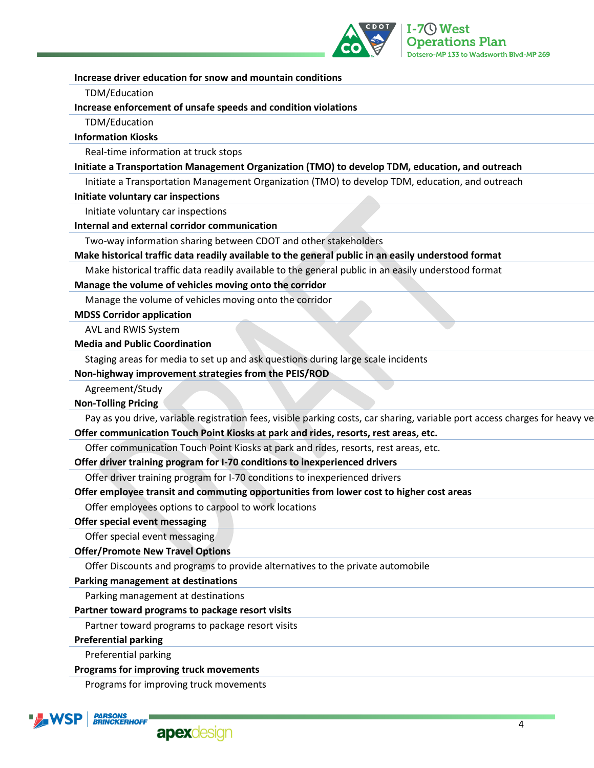

| Increase driver education for snow and mountain conditions                                                                  |
|-----------------------------------------------------------------------------------------------------------------------------|
| TDM/Education                                                                                                               |
| Increase enforcement of unsafe speeds and condition violations                                                              |
| TDM/Education                                                                                                               |
| <b>Information Kiosks</b>                                                                                                   |
| Real-time information at truck stops                                                                                        |
| Initiate a Transportation Management Organization (TMO) to develop TDM, education, and outreach                             |
| Initiate a Transportation Management Organization (TMO) to develop TDM, education, and outreach                             |
| Initiate voluntary car inspections                                                                                          |
| Initiate voluntary car inspections                                                                                          |
| Internal and external corridor communication                                                                                |
| Two-way information sharing between CDOT and other stakeholders                                                             |
| Make historical traffic data readily available to the general public in an easily understood format                         |
| Make historical traffic data readily available to the general public in an easily understood format                         |
| Manage the volume of vehicles moving onto the corridor                                                                      |
| Manage the volume of vehicles moving onto the corridor                                                                      |
| <b>MDSS Corridor application</b>                                                                                            |
| AVL and RWIS System                                                                                                         |
| <b>Media and Public Coordination</b>                                                                                        |
| Staging areas for media to set up and ask questions during large scale incidents                                            |
| Non-highway improvement strategies from the PEIS/ROD                                                                        |
| Agreement/Study                                                                                                             |
| <b>Non-Tolling Pricing</b>                                                                                                  |
| Pay as you drive, variable registration fees, visible parking costs, car sharing, variable port access charges for heavy ve |
| Offer communication Touch Point Kiosks at park and rides, resorts, rest areas, etc.                                         |
| Offer communication Touch Point Kiosks at park and rides, resorts, rest areas, etc.                                         |
| Offer driver training program for I-70 conditions to inexperienced drivers                                                  |
| Offer driver training program for I-70 conditions to inexperienced drivers                                                  |
| Offer employee transit and commuting opportunities from lower cost to higher cost areas                                     |
| Offer employees options to carpool to work locations                                                                        |
| Offer special event messaging                                                                                               |
| Offer special event messaging                                                                                               |
| <b>Offer/Promote New Travel Options</b>                                                                                     |
| Offer Discounts and programs to provide alternatives to the private automobile                                              |
| Parking management at destinations                                                                                          |
| Parking management at destinations                                                                                          |
| Partner toward programs to package resort visits                                                                            |
| Partner toward programs to package resort visits                                                                            |
| <b>Preferential parking</b>                                                                                                 |
| Preferential parking                                                                                                        |
| Programs for improving truck movements                                                                                      |
| <u>Desaranse farissara das truciles accordante</u>                                                                          |

Programs for improving truck movements

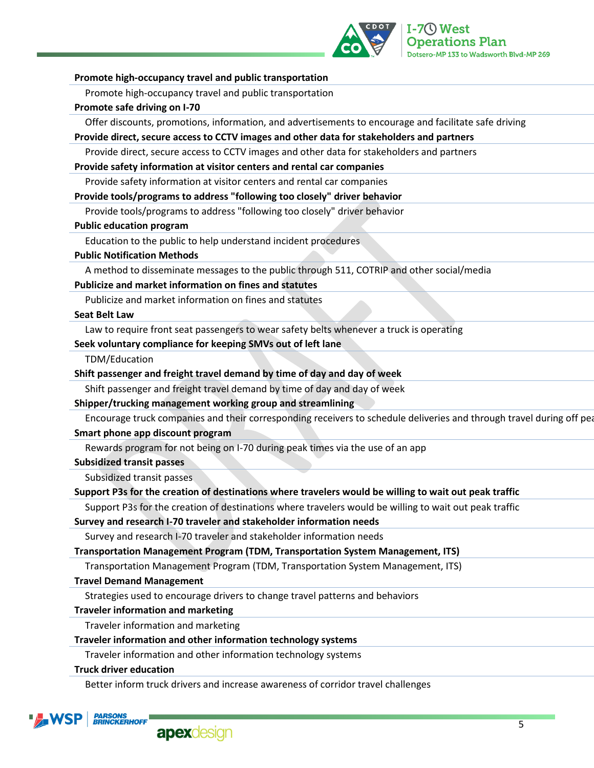

| Promote high-occupancy travel and public transportation<br>Promote safe driving on I-70<br>Offer discounts, promotions, information, and advertisements to encourage and facilitate safe driving<br>Provide direct, secure access to CCTV images and other data for stakeholders and partners<br>Provide direct, secure access to CCTV images and other data for stakeholders and partners<br>Provide safety information at visitor centers and rental car companies<br>Provide safety information at visitor centers and rental car companies<br>Provide tools/programs to address "following too closely" driver behavior<br>Provide tools/programs to address "following too closely" driver behavior<br><b>Public education program</b><br>Education to the public to help understand incident procedures<br><b>Public Notification Methods</b><br>A method to disseminate messages to the public through 511, COTRIP and other social/media<br>Publicize and market information on fines and statutes<br>Publicize and market information on fines and statutes<br><b>Seat Belt Law</b> |
|----------------------------------------------------------------------------------------------------------------------------------------------------------------------------------------------------------------------------------------------------------------------------------------------------------------------------------------------------------------------------------------------------------------------------------------------------------------------------------------------------------------------------------------------------------------------------------------------------------------------------------------------------------------------------------------------------------------------------------------------------------------------------------------------------------------------------------------------------------------------------------------------------------------------------------------------------------------------------------------------------------------------------------------------------------------------------------------------|
|                                                                                                                                                                                                                                                                                                                                                                                                                                                                                                                                                                                                                                                                                                                                                                                                                                                                                                                                                                                                                                                                                              |
|                                                                                                                                                                                                                                                                                                                                                                                                                                                                                                                                                                                                                                                                                                                                                                                                                                                                                                                                                                                                                                                                                              |
|                                                                                                                                                                                                                                                                                                                                                                                                                                                                                                                                                                                                                                                                                                                                                                                                                                                                                                                                                                                                                                                                                              |
|                                                                                                                                                                                                                                                                                                                                                                                                                                                                                                                                                                                                                                                                                                                                                                                                                                                                                                                                                                                                                                                                                              |
|                                                                                                                                                                                                                                                                                                                                                                                                                                                                                                                                                                                                                                                                                                                                                                                                                                                                                                                                                                                                                                                                                              |
|                                                                                                                                                                                                                                                                                                                                                                                                                                                                                                                                                                                                                                                                                                                                                                                                                                                                                                                                                                                                                                                                                              |
|                                                                                                                                                                                                                                                                                                                                                                                                                                                                                                                                                                                                                                                                                                                                                                                                                                                                                                                                                                                                                                                                                              |
|                                                                                                                                                                                                                                                                                                                                                                                                                                                                                                                                                                                                                                                                                                                                                                                                                                                                                                                                                                                                                                                                                              |
|                                                                                                                                                                                                                                                                                                                                                                                                                                                                                                                                                                                                                                                                                                                                                                                                                                                                                                                                                                                                                                                                                              |
|                                                                                                                                                                                                                                                                                                                                                                                                                                                                                                                                                                                                                                                                                                                                                                                                                                                                                                                                                                                                                                                                                              |
|                                                                                                                                                                                                                                                                                                                                                                                                                                                                                                                                                                                                                                                                                                                                                                                                                                                                                                                                                                                                                                                                                              |
|                                                                                                                                                                                                                                                                                                                                                                                                                                                                                                                                                                                                                                                                                                                                                                                                                                                                                                                                                                                                                                                                                              |
|                                                                                                                                                                                                                                                                                                                                                                                                                                                                                                                                                                                                                                                                                                                                                                                                                                                                                                                                                                                                                                                                                              |
|                                                                                                                                                                                                                                                                                                                                                                                                                                                                                                                                                                                                                                                                                                                                                                                                                                                                                                                                                                                                                                                                                              |
|                                                                                                                                                                                                                                                                                                                                                                                                                                                                                                                                                                                                                                                                                                                                                                                                                                                                                                                                                                                                                                                                                              |
|                                                                                                                                                                                                                                                                                                                                                                                                                                                                                                                                                                                                                                                                                                                                                                                                                                                                                                                                                                                                                                                                                              |
| Law to require front seat passengers to wear safety belts whenever a truck is operating                                                                                                                                                                                                                                                                                                                                                                                                                                                                                                                                                                                                                                                                                                                                                                                                                                                                                                                                                                                                      |
| Seek voluntary compliance for keeping SMVs out of left lane                                                                                                                                                                                                                                                                                                                                                                                                                                                                                                                                                                                                                                                                                                                                                                                                                                                                                                                                                                                                                                  |
| TDM/Education                                                                                                                                                                                                                                                                                                                                                                                                                                                                                                                                                                                                                                                                                                                                                                                                                                                                                                                                                                                                                                                                                |
| Shift passenger and freight travel demand by time of day and day of week                                                                                                                                                                                                                                                                                                                                                                                                                                                                                                                                                                                                                                                                                                                                                                                                                                                                                                                                                                                                                     |
| Shift passenger and freight travel demand by time of day and day of week                                                                                                                                                                                                                                                                                                                                                                                                                                                                                                                                                                                                                                                                                                                                                                                                                                                                                                                                                                                                                     |
| Shipper/trucking management working group and streamlining                                                                                                                                                                                                                                                                                                                                                                                                                                                                                                                                                                                                                                                                                                                                                                                                                                                                                                                                                                                                                                   |
| Encourage truck companies and their corresponding receivers to schedule deliveries and through travel during off pea                                                                                                                                                                                                                                                                                                                                                                                                                                                                                                                                                                                                                                                                                                                                                                                                                                                                                                                                                                         |
| Smart phone app discount program                                                                                                                                                                                                                                                                                                                                                                                                                                                                                                                                                                                                                                                                                                                                                                                                                                                                                                                                                                                                                                                             |
| Rewards program for not being on I-70 during peak times via the use of an app                                                                                                                                                                                                                                                                                                                                                                                                                                                                                                                                                                                                                                                                                                                                                                                                                                                                                                                                                                                                                |
| <b>Subsidized transit passes</b>                                                                                                                                                                                                                                                                                                                                                                                                                                                                                                                                                                                                                                                                                                                                                                                                                                                                                                                                                                                                                                                             |
| Subsidized transit passes                                                                                                                                                                                                                                                                                                                                                                                                                                                                                                                                                                                                                                                                                                                                                                                                                                                                                                                                                                                                                                                                    |
| Support P3s for the creation of destinations where travelers would be willing to wait out peak traffic                                                                                                                                                                                                                                                                                                                                                                                                                                                                                                                                                                                                                                                                                                                                                                                                                                                                                                                                                                                       |
| Support P3s for the creation of destinations where travelers would be willing to wait out peak traffic                                                                                                                                                                                                                                                                                                                                                                                                                                                                                                                                                                                                                                                                                                                                                                                                                                                                                                                                                                                       |
| Survey and research I-70 traveler and stakeholder information needs                                                                                                                                                                                                                                                                                                                                                                                                                                                                                                                                                                                                                                                                                                                                                                                                                                                                                                                                                                                                                          |
| Survey and research I-70 traveler and stakeholder information needs                                                                                                                                                                                                                                                                                                                                                                                                                                                                                                                                                                                                                                                                                                                                                                                                                                                                                                                                                                                                                          |
| Transportation Management Program (TDM, Transportation System Management, ITS)                                                                                                                                                                                                                                                                                                                                                                                                                                                                                                                                                                                                                                                                                                                                                                                                                                                                                                                                                                                                               |
| Transportation Management Program (TDM, Transportation System Management, ITS)                                                                                                                                                                                                                                                                                                                                                                                                                                                                                                                                                                                                                                                                                                                                                                                                                                                                                                                                                                                                               |
| <b>Travel Demand Management</b>                                                                                                                                                                                                                                                                                                                                                                                                                                                                                                                                                                                                                                                                                                                                                                                                                                                                                                                                                                                                                                                              |
| Strategies used to encourage drivers to change travel patterns and behaviors                                                                                                                                                                                                                                                                                                                                                                                                                                                                                                                                                                                                                                                                                                                                                                                                                                                                                                                                                                                                                 |
| <b>Traveler information and marketing</b>                                                                                                                                                                                                                                                                                                                                                                                                                                                                                                                                                                                                                                                                                                                                                                                                                                                                                                                                                                                                                                                    |
| Traveler information and marketing                                                                                                                                                                                                                                                                                                                                                                                                                                                                                                                                                                                                                                                                                                                                                                                                                                                                                                                                                                                                                                                           |
| Traveler information and other information technology systems                                                                                                                                                                                                                                                                                                                                                                                                                                                                                                                                                                                                                                                                                                                                                                                                                                                                                                                                                                                                                                |
| Traveler information and other information technology systems                                                                                                                                                                                                                                                                                                                                                                                                                                                                                                                                                                                                                                                                                                                                                                                                                                                                                                                                                                                                                                |
| <b>Truck driver education</b>                                                                                                                                                                                                                                                                                                                                                                                                                                                                                                                                                                                                                                                                                                                                                                                                                                                                                                                                                                                                                                                                |
| Better inform truck drivers and increase awareness of corridor travel challenges                                                                                                                                                                                                                                                                                                                                                                                                                                                                                                                                                                                                                                                                                                                                                                                                                                                                                                                                                                                                             |